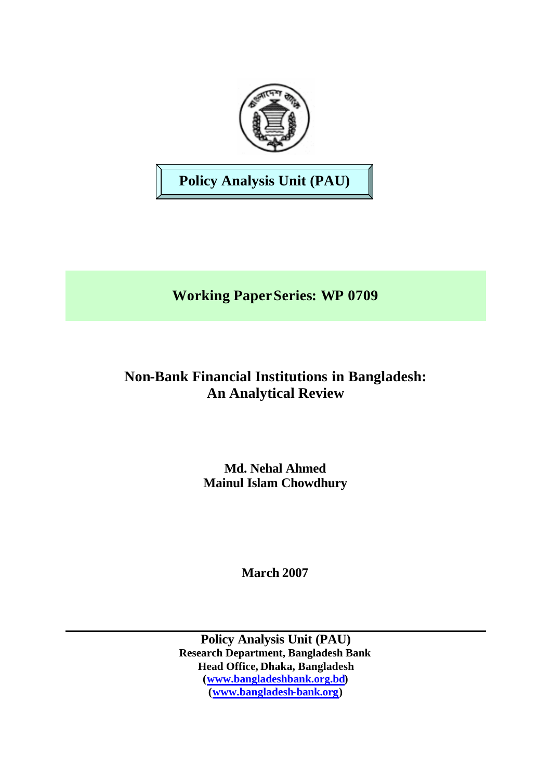

**Policy Analysis Unit (PAU)**

# **Working Paper Series: WP 0709**

# **Non-Bank Financial Institutions in Bangladesh: An Analytical Review**

**Md. Nehal Ahmed Mainul Islam Chowdhury**

**March 2007**

**Policy Analysis Unit (PAU) Research Department, Bangladesh Bank Head Office, Dhaka, Bangladesh (www.bangladeshbank.org.bd) (www.bangladesh-bank.org)**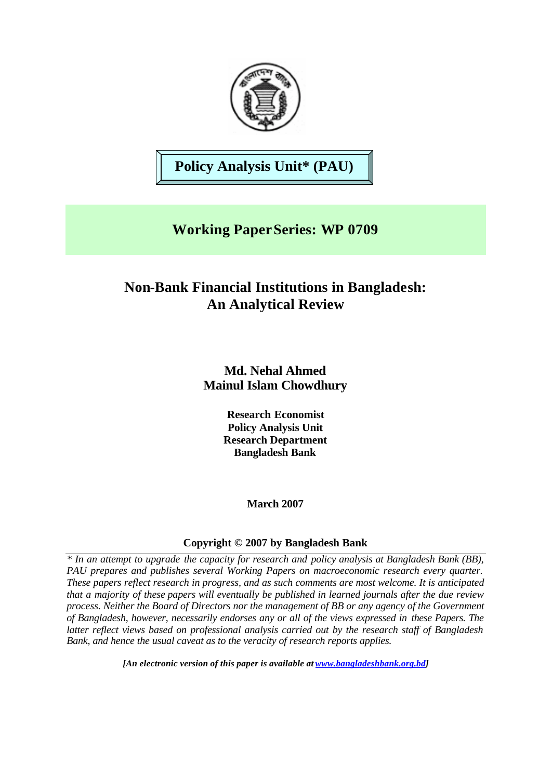

**Policy Analysis Unit\* (PAU)**

## **Working Paper Series: WP 0709**

# **Non-Bank Financial Institutions in Bangladesh: An Analytical Review**

**Md. Nehal Ahmed Mainul Islam Chowdhury**

> **Research Economist Policy Analysis Unit Research Department Bangladesh Bank**

> > **March 2007**

## **Copyright © 2007 by Bangladesh Bank**

*\* In an attempt to upgrade the capacity for research and policy analysis at Bangladesh Bank (BB), PAU prepares and publishes several Working Papers on macroeconomic research every quarter. These papers reflect research in progress, and as such comments are most welcome. It is anticipated that a majority of these papers will eventually be published in learned journals after the due review process. Neither the Board of Directors nor the management of BB or any agency of the Government of Bangladesh, however, necessarily endorses any or all of the views expressed in these Papers. The latter reflect views based on professional analysis carried out by the research staff of Bangladesh Bank, and hence the usual caveat as to the veracity of research reports applies.*

*[An electronic version of this paper is available at www.bangladeshbank.org.bd]*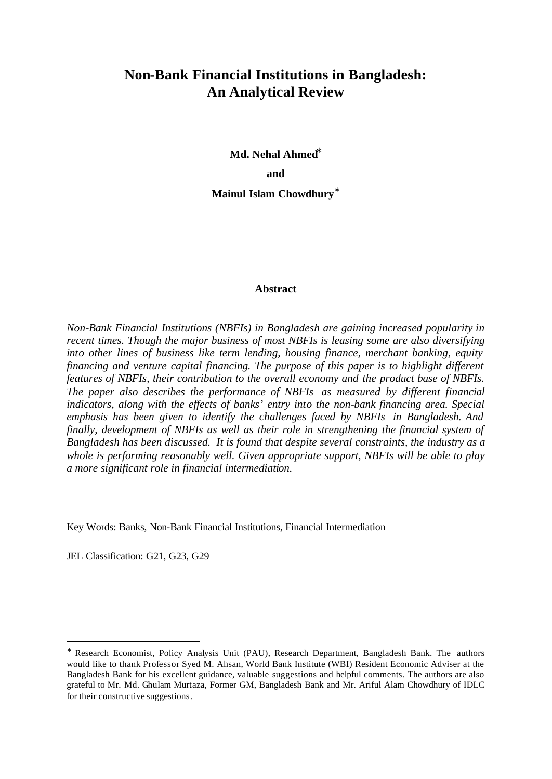## **Non-Bank Financial Institutions in Bangladesh: An Analytical Review**

**Md. Nehal Ahmed\* and Mainul Islam Chowdhury\***

#### **Abstract**

*Non-Bank Financial Institutions (NBFIs) in Bangladesh are gaining increased popularity in recent times. Though the major business of most NBFIs is leasing some are also diversifying into other lines of business like term lending, housing finance, merchant banking, equity financing and venture capital financing. The purpose of this paper is to highlight different features of NBFIs, their contribution to the overall economy and the product base of NBFIs. The paper also describes the performance of NBFIs as measured by different financial indicators, along with the effects of banks' entry into the non-bank financing area. Special emphasis has been given to identify the challenges faced by NBFIs in Bangladesh. And finally, development of NBFIs as well as their role in strengthening the financial system of Bangladesh has been discussed. It is found that despite several constraints, the industry as a whole is performing reasonably well. Given appropriate support, NBFIs will be able to play a more significant role in financial intermediation.*

Key Words: Banks, Non-Bank Financial Institutions, Financial Intermediation

JEL Classification: G21, G23, G29

l

<sup>∗</sup> Research Economist, Policy Analysis Unit (PAU), Research Department, Bangladesh Bank. The authors would like to thank Professor Syed M. Ahsan, World Bank Institute (WBI) Resident Economic Adviser at the Bangladesh Bank for his excellent guidance, valuable suggestions and helpful comments. The authors are also grateful to Mr. Md. Ghulam Murtaza, Former GM, Bangladesh Bank and Mr. Ariful Alam Chowdhury of IDLC for their constructive suggestions.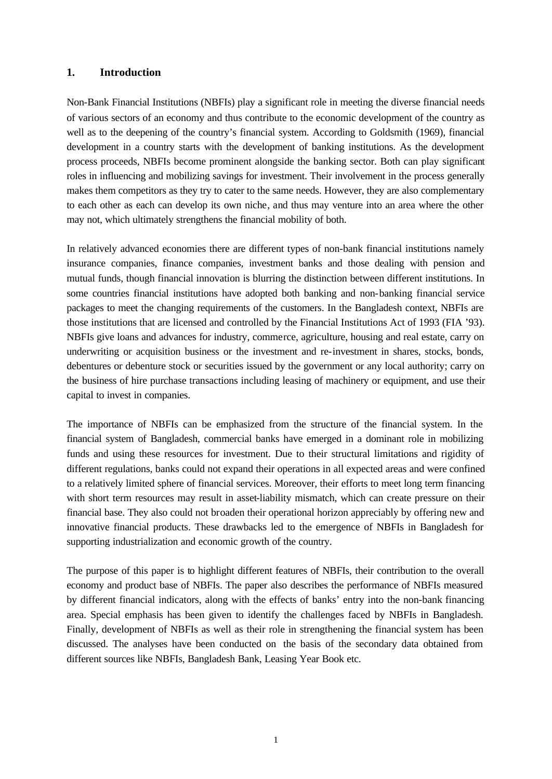#### **1. Introduction**

Non-Bank Financial Institutions (NBFIs) play a significant role in meeting the diverse financial needs of various sectors of an economy and thus contribute to the economic development of the country as well as to the deepening of the country's financial system. According to Goldsmith (1969), financial development in a country starts with the development of banking institutions. As the development process proceeds, NBFIs become prominent alongside the banking sector. Both can play significant roles in influencing and mobilizing savings for investment. Their involvement in the process generally makes them competitors as they try to cater to the same needs. However, they are also complementary to each other as each can develop its own niche, and thus may venture into an area where the other may not, which ultimately strengthens the financial mobility of both.

In relatively advanced economies there are different types of non-bank financial institutions namely insurance companies, finance companies, investment banks and those dealing with pension and mutual funds, though financial innovation is blurring the distinction between different institutions. In some countries financial institutions have adopted both banking and non-banking financial service packages to meet the changing requirements of the customers. In the Bangladesh context, NBFIs are those institutions that are licensed and controlled by the Financial Institutions Act of 1993 (FIA '93). NBFIs give loans and advances for industry, commerce, agriculture, housing and real estate, carry on underwriting or acquisition business or the investment and re-investment in shares, stocks, bonds, debentures or debenture stock or securities issued by the government or any local authority; carry on the business of hire purchase transactions including leasing of machinery or equipment, and use their capital to invest in companies.

The importance of NBFIs can be emphasized from the structure of the financial system. In the financial system of Bangladesh, commercial banks have emerged in a dominant role in mobilizing funds and using these resources for investment. Due to their structural limitations and rigidity of different regulations, banks could not expand their operations in all expected areas and were confined to a relatively limited sphere of financial services. Moreover, their efforts to meet long term financing with short term resources may result in asset-liability mismatch, which can create pressure on their financial base. They also could not broaden their operational horizon appreciably by offering new and innovative financial products. These drawbacks led to the emergence of NBFIs in Bangladesh for supporting industrialization and economic growth of the country.

The purpose of this paper is to highlight different features of NBFIs, their contribution to the overall economy and product base of NBFIs. The paper also describes the performance of NBFIs measured by different financial indicators, along with the effects of banks' entry into the non-bank financing area. Special emphasis has been given to identify the challenges faced by NBFIs in Bangladesh. Finally, development of NBFIs as well as their role in strengthening the financial system has been discussed. The analyses have been conducted on the basis of the secondary data obtained from different sources like NBFIs, Bangladesh Bank, Leasing Year Book etc.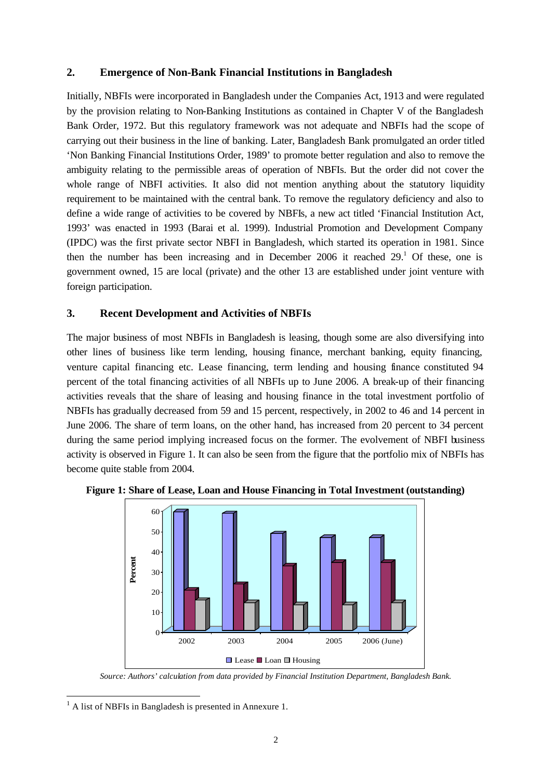#### **2. Emergence of Non-Bank Financial Institutions in Bangladesh**

Initially, NBFIs were incorporated in Bangladesh under the Companies Act, 1913 and were regulated by the provision relating to Non-Banking Institutions as contained in Chapter V of the Bangladesh Bank Order, 1972. But this regulatory framework was not adequate and NBFIs had the scope of carrying out their business in the line of banking. Later, Bangladesh Bank promulgated an order titled 'Non Banking Financial Institutions Order, 1989' to promote better regulation and also to remove the ambiguity relating to the permissible areas of operation of NBFIs. But the order did not cover the whole range of NBFI activities. It also did not mention anything about the statutory liquidity requirement to be maintained with the central bank. To remove the regulatory deficiency and also to define a wide range of activities to be covered by NBFIs, a new act titled 'Financial Institution Act, 1993' was enacted in 1993 (Barai et al. 1999). Industrial Promotion and Development Company (IPDC) was the first private sector NBFI in Bangladesh, which started its operation in 1981. Since then the number has been increasing and in December 2006 it reached  $29<sup>1</sup>$  Of these, one is government owned, 15 are local (private) and the other 13 are established under joint venture with foreign participation.

#### **3. Recent Development and Activities of NBFIs**

The major business of most NBFIs in Bangladesh is leasing, though some are also diversifying into other lines of business like term lending, housing finance, merchant banking, equity financing, venture capital financing etc. Lease financing, term lending and housing finance constituted 94 percent of the total financing activities of all NBFIs up to June 2006. A break-up of their financing activities reveals that the share of leasing and housing finance in the total investment portfolio of NBFIs has gradually decreased from 59 and 15 percent, respectively, in 2002 to 46 and 14 percent in June 2006. The share of term loans, on the other hand, has increased from 20 percent to 34 percent during the same period implying increased focus on the former. The evolvement of NBFI business activity is observed in Figure 1. It can also be seen from the figure that the portfolio mix of NBFIs has become quite stable from 2004.



**Figure 1: Share of Lease, Loan and House Financing in Total Investment (outstanding)**

*Source: Authors' calculation from data provided by Financial Institution Department, Bangladesh Bank.*

l <sup>1</sup> A list of NBFIs in Bangladesh is presented in Annexure 1.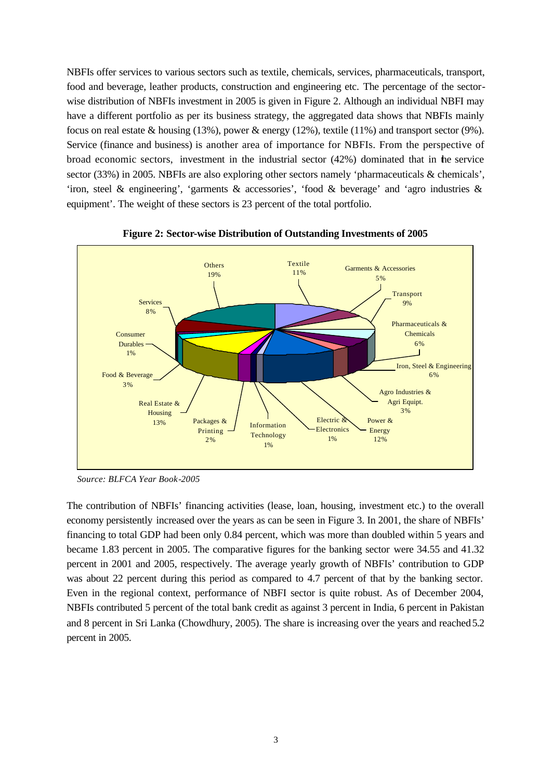NBFIs offer services to various sectors such as textile, chemicals, services, pharmaceuticals, transport, food and beverage, leather products, construction and engineering etc. The percentage of the sectorwise distribution of NBFIs investment in 2005 is given in Figure 2. Although an individual NBFI may have a different portfolio as per its business strategy, the aggregated data shows that NBFIs mainly focus on real estate & housing (13%), power & energy (12%), textile (11%) and transport sector (9%). Service (finance and business) is another area of importance for NBFIs. From the perspective of broad economic sectors, investment in the industrial sector (42%) dominated that in the service sector (33%) in 2005. NBFIs are also exploring other sectors namely 'pharmaceuticals & chemicals', 'iron, steel & engineering', 'garments & accessories', 'food & beverage' and 'agro industries & equipment'. The weight of these sectors is 23 percent of the total portfolio.



**Figure 2: Sector-wise Distribution of Outstanding Investments of 2005**

*Source: BLFCA Year Book-2005*

The contribution of NBFIs' financing activities (lease, loan, housing, investment etc.) to the overall economy persistently increased over the years as can be seen in Figure 3. In 2001, the share of NBFIs' financing to total GDP had been only 0.84 percent, which was more than doubled within 5 years and became 1.83 percent in 2005. The comparative figures for the banking sector were 34.55 and 41.32 percent in 2001 and 2005, respectively. The average yearly growth of NBFIs' contribution to GDP was about 22 percent during this period as compared to 4.7 percent of that by the banking sector. Even in the regional context, performance of NBFI sector is quite robust. As of December 2004, NBFIs contributed 5 percent of the total bank credit as against 3 percent in India, 6 percent in Pakistan and 8 percent in Sri Lanka (Chowdhury, 2005). The share is increasing over the years and reached 5.2 percent in 2005.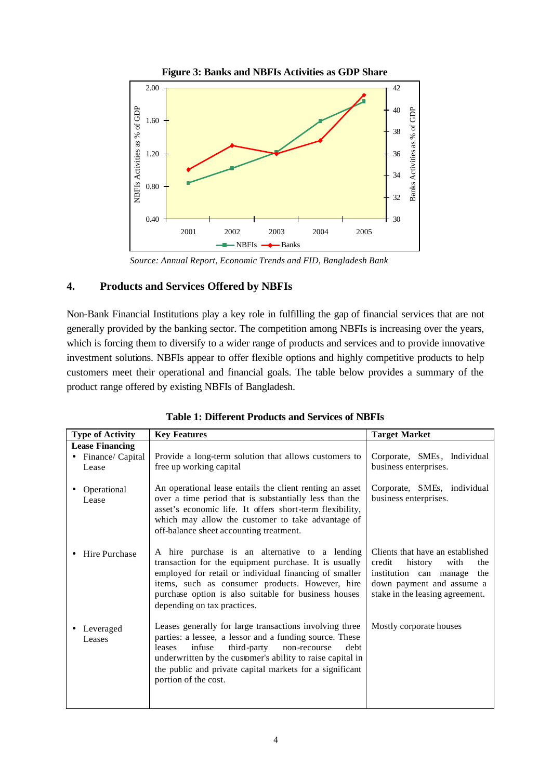

*Source: Annual Report, Economic Trends and FID, Bangladesh Bank*

## **4. Products and Services Offered by NBFIs**

Non-Bank Financial Institutions play a key role in fulfilling the gap of financial services that are not generally provided by the banking sector. The competition among NBFIs is increasing over the years, which is forcing them to diversify to a wider range of products and services and to provide innovative investment solutions. NBFIs appear to offer flexible options and highly competitive products to help customers meet their operational and financial goals. The table below provides a summary of the product range offered by existing NBFIs of Bangladesh.

| <b>Type of Activity</b> |                      | <b>Key Features</b>                                                                                                                                                                                                                                                                                                             | <b>Target Market</b>                                                                                                                                                  |  |
|-------------------------|----------------------|---------------------------------------------------------------------------------------------------------------------------------------------------------------------------------------------------------------------------------------------------------------------------------------------------------------------------------|-----------------------------------------------------------------------------------------------------------------------------------------------------------------------|--|
| <b>Lease Financing</b>  |                      |                                                                                                                                                                                                                                                                                                                                 |                                                                                                                                                                       |  |
|                         | Finance/ Capital     | Provide a long-term solution that allows customers to                                                                                                                                                                                                                                                                           | Corporate, SMEs, Individual                                                                                                                                           |  |
|                         | Lease                | free up working capital                                                                                                                                                                                                                                                                                                         | business enterprises.                                                                                                                                                 |  |
|                         | Operational<br>Lease | An operational lease entails the client renting an asset<br>over a time period that is substantially less than the<br>asset's economic life. It offers short-term flexibility,<br>which may allow the customer to take advantage of<br>off-balance sheet accounting treatment.                                                  | Corporate, SMEs, individual<br>business enterprises.                                                                                                                  |  |
|                         | Hire Purchase        | A hire purchase is an alternative to a lending<br>transaction for the equipment purchase. It is usually<br>employed for retail or individual financing of smaller<br>items, such as consumer products. However, hire<br>purchase option is also suitable for business houses<br>depending on tax practices.                     | Clients that have an established<br>history<br>credit<br>with<br>the<br>institution can manage<br>the<br>down payment and assume a<br>stake in the leasing agreement. |  |
|                         | Leveraged<br>Leases  | Leases generally for large transactions involving three<br>parties: a lessee, a lessor and a funding source. These<br>third-party<br>non-recourse<br>infuse<br>debt<br>leases<br>underwritten by the customer's ability to raise capital in<br>the public and private capital markets for a significant<br>portion of the cost. | Mostly corporate houses                                                                                                                                               |  |

| <b>Table 1: Different Products and Services of NBFIs</b> |  |  |
|----------------------------------------------------------|--|--|
|----------------------------------------------------------|--|--|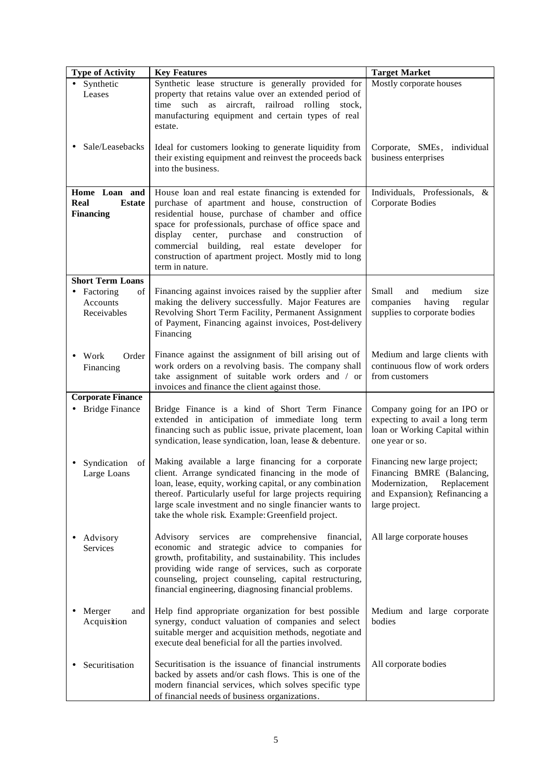| <b>Type of Activity</b>                   | <b>Key Features</b>                                                                                               | <b>Target Market</b>                                          |
|-------------------------------------------|-------------------------------------------------------------------------------------------------------------------|---------------------------------------------------------------|
| Synthetic                                 | Synthetic lease structure is generally provided for                                                               | Mostly corporate houses                                       |
| Leases                                    | property that retains value over an extended period of                                                            |                                                               |
|                                           | time such<br>as<br>aircraft, railroad rolling stock,<br>manufacturing equipment and certain types of real         |                                                               |
|                                           | estate.                                                                                                           |                                                               |
|                                           |                                                                                                                   |                                                               |
| Sale/Leasebacks                           | Ideal for customers looking to generate liquidity from                                                            | Corporate, SMEs, individual                                   |
|                                           | their existing equipment and reinvest the proceeds back                                                           | business enterprises                                          |
|                                           | into the business.                                                                                                |                                                               |
|                                           |                                                                                                                   |                                                               |
| Home Loan and                             | House loan and real estate financing is extended for                                                              | Individuals, Professionals, &                                 |
| Real<br><b>Estate</b><br><b>Financing</b> | purchase of apartment and house, construction of<br>residential house, purchase of chamber and office             | Corporate Bodies                                              |
|                                           | space for professionals, purchase of office space and                                                             |                                                               |
|                                           | display center, purchase<br>and construction<br>of                                                                |                                                               |
|                                           | commercial building, real estate developer<br>for                                                                 |                                                               |
|                                           | construction of apartment project. Mostly mid to long                                                             |                                                               |
|                                           | term in nature.                                                                                                   |                                                               |
| <b>Short Term Loans</b>                   |                                                                                                                   | Small<br>medium<br>and<br>size                                |
| Factoring<br>οf<br>Accounts               | Financing against invoices raised by the supplier after<br>making the delivery successfully. Major Features are   | companies<br>having<br>regular                                |
| Receivables                               | Revolving Short Term Facility, Permanent Assignment                                                               | supplies to corporate bodies                                  |
|                                           | of Payment, Financing against invoices, Post-delivery                                                             |                                                               |
|                                           | Financing                                                                                                         |                                                               |
|                                           |                                                                                                                   | Medium and large clients with                                 |
| Work<br>Order<br>Financing                | Finance against the assignment of bill arising out of<br>work orders on a revolving basis. The company shall      | continuous flow of work orders                                |
|                                           | take assignment of suitable work orders and / or                                                                  | from customers                                                |
|                                           | invoices and finance the client against those.                                                                    |                                                               |
| <b>Corporate Finance</b>                  |                                                                                                                   |                                                               |
| <b>Bridge Finance</b>                     | Bridge Finance is a kind of Short Term Finance<br>extended in anticipation of immediate long term                 | Company going for an IPO or<br>expecting to avail a long term |
|                                           | financing such as public issue, private placement, loan                                                           | loan or Working Capital within                                |
|                                           | syndication, lease syndication, loan, lease & debenture.                                                          | one year or so.                                               |
|                                           |                                                                                                                   |                                                               |
| Syndication<br>of                         | Making available a large financing for a corporate                                                                | Financing new large project;                                  |
| Large Loans                               | client. Arrange syndicated financing in the mode of<br>loan, lease, equity, working capital, or any combination   | Financing BMRE (Balancing,<br>Modernization,<br>Replacement   |
|                                           | thereof. Particularly useful for large projects requiring                                                         | and Expansion); Refinancing a                                 |
|                                           | large scale investment and no single financier wants to                                                           | large project.                                                |
|                                           | take the whole risk. Example: Greenfield project.                                                                 |                                                               |
|                                           | services<br>comprehensive financial,                                                                              | All large corporate houses                                    |
| Advisory<br><b>Services</b>               | Advisory<br>are<br>economic and strategic advice to companies for                                                 |                                                               |
|                                           | growth, profitability, and sustainability. This includes                                                          |                                                               |
|                                           | providing wide range of services, such as corporate                                                               |                                                               |
|                                           | counseling, project counseling, capital restructuring,                                                            |                                                               |
|                                           | financial engineering, diagnosing financial problems.                                                             |                                                               |
| Merger<br>and                             | Help find appropriate organization for best possible                                                              | Medium and large corporate                                    |
| Acquisition                               | synergy, conduct valuation of companies and select                                                                | bodies                                                        |
|                                           | suitable merger and acquisition methods, negotiate and                                                            |                                                               |
|                                           | execute deal beneficial for all the parties involved.                                                             |                                                               |
|                                           |                                                                                                                   |                                                               |
| Securitisation                            | Securitisation is the issuance of financial instruments<br>backed by assets and/or cash flows. This is one of the | All corporate bodies                                          |
|                                           | modern financial services, which solves specific type                                                             |                                                               |
|                                           | of financial needs of business organizations.                                                                     |                                                               |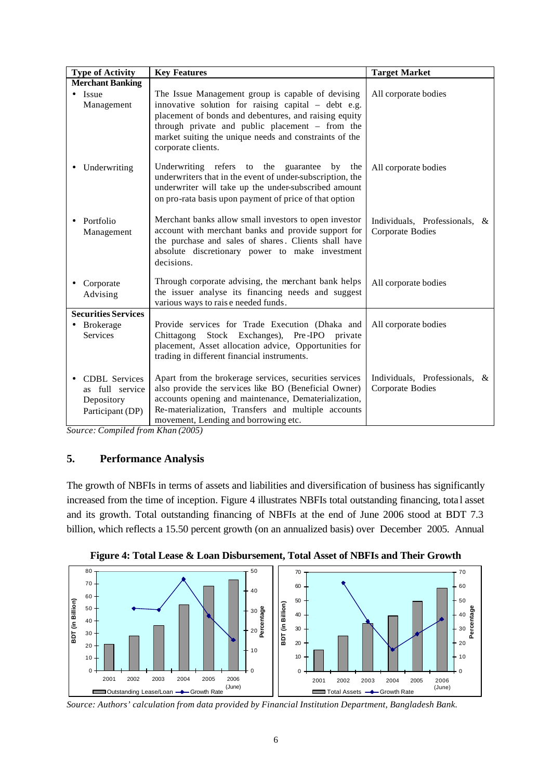| <b>Type of Activity</b>                                                   | <b>Key Features</b>                                                                                                                                                                                                                                                                                  | <b>Target Market</b>                                     |
|---------------------------------------------------------------------------|------------------------------------------------------------------------------------------------------------------------------------------------------------------------------------------------------------------------------------------------------------------------------------------------------|----------------------------------------------------------|
| <b>Merchant Banking</b>                                                   |                                                                                                                                                                                                                                                                                                      |                                                          |
| <b>Issue</b><br>Management                                                | The Issue Management group is capable of devising<br>innovative solution for raising capital – debt e.g.<br>placement of bonds and debentures, and raising equity<br>through private and public placement - from the<br>market suiting the unique needs and constraints of the<br>corporate clients. | All corporate bodies                                     |
| Underwriting                                                              | Underwriting refers to the guarantee<br>by<br>the<br>underwriters that in the event of under-subscription, the<br>underwriter will take up the under-subscribed amount<br>on pro-rata basis upon payment of price of that option                                                                     | All corporate bodies                                     |
| Portfolio<br>Management                                                   | Merchant banks allow small investors to open investor<br>account with merchant banks and provide support for<br>the purchase and sales of shares. Clients shall have<br>absolute discretionary power to make investment<br>decisions.                                                                | Individuals, Professionals, &<br>Corporate Bodies        |
| Corporate<br>Advising                                                     | Through corporate advising, the merchant bank helps<br>the issuer analyse its financing needs and suggest<br>various ways to raise needed funds.                                                                                                                                                     | All corporate bodies                                     |
| <b>Securities Services</b>                                                |                                                                                                                                                                                                                                                                                                      |                                                          |
| Brokerage<br>Services                                                     | Provide services for Trade Execution (Dhaka and<br>Stock Exchanges), Pre-IPO private<br>Chittagong<br>placement, Asset allocation advice, Opportunities for<br>trading in different financial instruments.                                                                                           | All corporate bodies                                     |
| <b>CDBL</b> Services<br>as full service<br>Depository<br>Participant (DP) | Apart from the brokerage services, securities services<br>also provide the services like BO (Beneficial Owner)<br>accounts opening and maintenance, Dematerialization,<br>Re-materialization, Transfers and multiple accounts<br>movement, Lending and borrowing etc.                                | Individuals, Professionals, &<br><b>Corporate Bodies</b> |

*Source: Compiled from Khan (2005)*

#### **5. Performance Analysis**

The growth of NBFIs in terms of assets and liabilities and diversification of business has significantly increased from the time of inception. Figure 4 illustrates NBFIs total outstanding financing, tota l asset and its growth. Total outstanding financing of NBFIs at the end of June 2006 stood at BDT 7.3 billion, which reflects a 15.50 percent growth (on an annualized basis) over December 2005. Annual





*Source: Authors' calculation from data provided by Financial Institution Department, Bangladesh Bank.*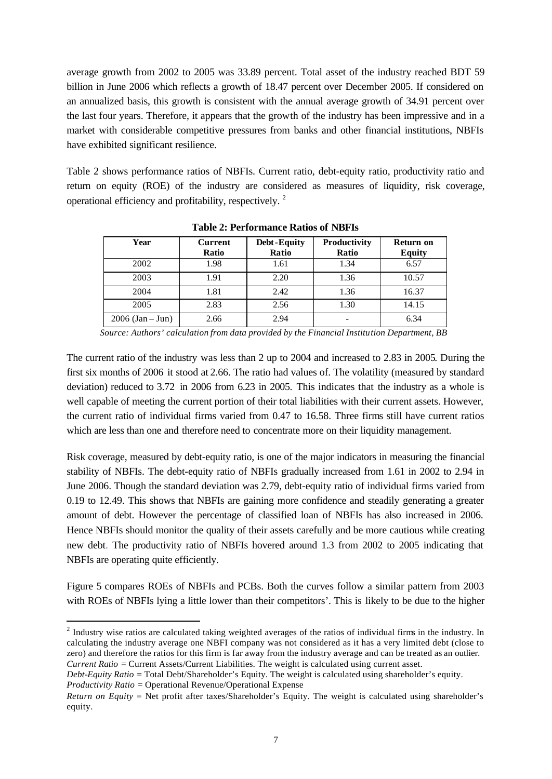average growth from 2002 to 2005 was 33.89 percent. Total asset of the industry reached BDT 59 billion in June 2006 which reflects a growth of 18.47 percent over December 2005. If considered on an annualized basis, this growth is consistent with the annual average growth of 34.91 percent over the last four years. Therefore, it appears that the growth of the industry has been impressive and in a market with considerable competitive pressures from banks and other financial institutions, NBFIs have exhibited significant resilience.

Table 2 shows performance ratios of NBFIs. Current ratio, debt-equity ratio, productivity ratio and return on equity (ROE) of the industry are considered as measures of liquidity, risk coverage, operational efficiency and profitability, respectively. <sup>2</sup>

| Year               | Current<br>Ratio | Debt-Equity<br>Ratio | Productivity<br>Ratio | <b>Return on</b><br><b>Equity</b> |
|--------------------|------------------|----------------------|-----------------------|-----------------------------------|
| 2002               | 1.98             | 1.61                 | 1.34                  | 6.57                              |
| 2003               | 1.91             | 2.20                 | 1.36                  | 10.57                             |
| 2004               | 1.81             | 2.42                 | 1.36                  | 16.37                             |
| 2005               | 2.83             | 2.56                 | 1.30                  | 14.15                             |
| $2006$ (Jan – Jun) | 2.66             | 2.94                 |                       | 6.34                              |

**Table 2: Performance Ratios of NBFIs**

*Source: Authors' calculation from data provided by the Financial Institution Department, BB*

The current ratio of the industry was less than 2 up to 2004 and increased to 2.83 in 2005. During the first six months of 2006 it stood at 2.66. The ratio had values of. The volatility (measured by standard deviation) reduced to 3.72 in 2006 from 6.23 in 2005. This indicates that the industry as a whole is well capable of meeting the current portion of their total liabilities with their current assets. However, the current ratio of individual firms varied from 0.47 to 16.58. Three firms still have current ratios which are less than one and therefore need to concentrate more on their liquidity management.

Risk coverage, measured by debt-equity ratio, is one of the major indicators in measuring the financial stability of NBFIs. The debt-equity ratio of NBFIs gradually increased from 1.61 in 2002 to 2.94 in June 2006. Though the standard deviation was 2.79, debt-equity ratio of individual firms varied from 0.19 to 12.49. This shows that NBFIs are gaining more confidence and steadily generating a greater amount of debt. However the percentage of classified loan of NBFIs has also increased in 2006. Hence NBFIs should monitor the quality of their assets carefully and be more cautious while creating new debt. The productivity ratio of NBFIs hovered around 1.3 from 2002 to 2005 indicating that NBFIs are operating quite efficiently.

Figure 5 compares ROEs of NBFIs and PCBs. Both the curves follow a similar pattern from 2003 with ROEs of NBFIs lying a little lower than their competitors'. This is likely to be due to the higher

*Debt-Equity Ratio* = Total Debt/Shareholder's Equity. The weight is calculated using shareholder's equity.

*Productivity Ratio* = Operational Revenue/Operational Expense

l

 $2$  Industry wise ratios are calculated taking weighted averages of the ratios of individual firms in the industry. In calculating the industry average one NBFI company was not considered as it has a very limited debt (close to zero) and therefore the ratios for this firm is far away from the industry average and can be treated as an outlier. *Current Ratio* = Current Assets/Current Liabilities. The weight is calculated using current asset.

*Return on Equity* = Net profit after taxes/Shareholder's Equity. The weight is calculated using shareholder's equity.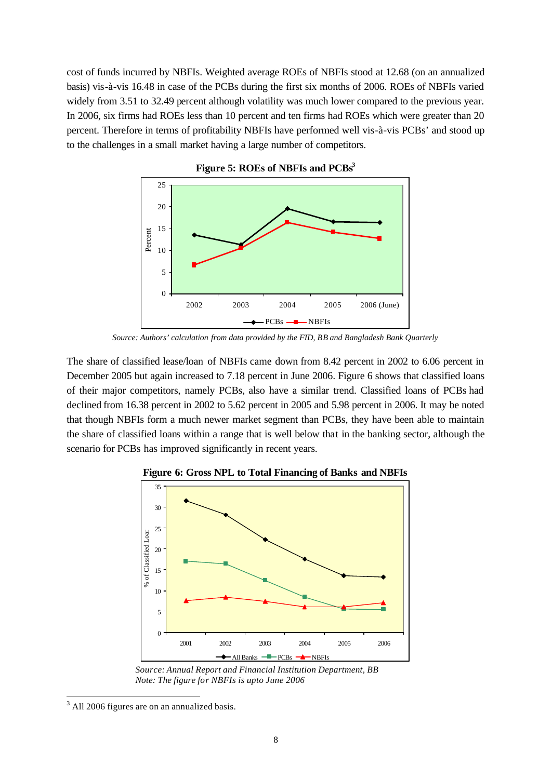cost of funds incurred by NBFIs. Weighted average ROEs of NBFIs stood at 12.68 (on an annualized basis) vis-à-vis 16.48 in case of the PCBs during the first six months of 2006. ROEs of NBFIs varied widely from 3.51 to 32.49 percent although volatility was much lower compared to the previous year. In 2006, six firms had ROEs less than 10 percent and ten firms had ROEs which were greater than 20 percent. Therefore in terms of profitability NBFIs have performed well vis-à-vis PCBs' and stood up to the challenges in a small market having a large number of competitors.



**Figure 5: ROEs of NBFIs and PCBs<sup>3</sup>**

*Source: Authors' calculation from data provided by the FID, BB and Bangladesh Bank Quarterly*

The share of classified lease/loan of NBFIs came down from 8.42 percent in 2002 to 6.06 percent in December 2005 but again increased to 7.18 percent in June 2006. Figure 6 shows that classified loans of their major competitors, namely PCBs, also have a similar trend. Classified loans of PCBs had declined from 16.38 percent in 2002 to 5.62 percent in 2005 and 5.98 percent in 2006. It may be noted that though NBFIs form a much newer market segment than PCBs, they have been able to maintain the share of classified loans within a range that is well below that in the banking sector, although the scenario for PCBs has improved significantly in recent years.



**Figure 6: Gross NPL to Total Financing of Banks and NBFIs**

l

*Source: Annual Report and Financial Institution Department, BB Note: The figure for NBFIs is upto June 2006*

 $3$  All 2006 figures are on an annualized basis.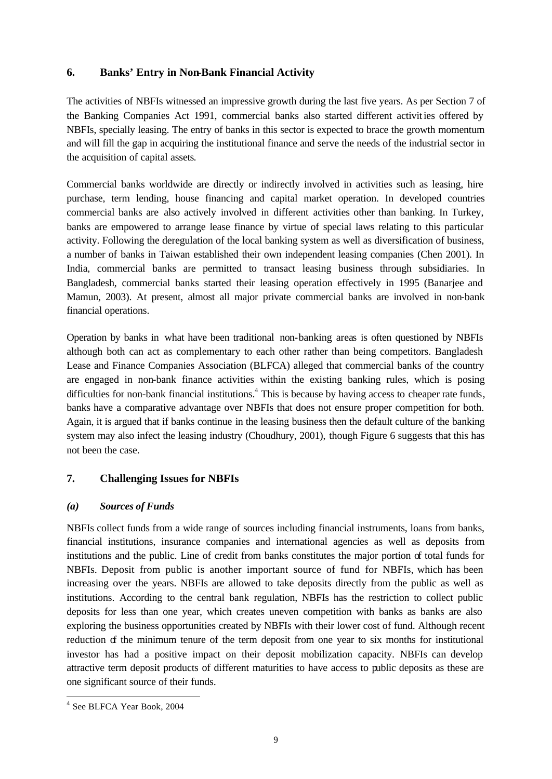## **6. Banks' Entry in Non-Bank Financial Activity**

The activities of NBFIs witnessed an impressive growth during the last five years. As per Section 7 of the Banking Companies Act 1991, commercial banks also started different activities offered by NBFIs, specially leasing. The entry of banks in this sector is expected to brace the growth momentum and will fill the gap in acquiring the institutional finance and serve the needs of the industrial sector in the acquisition of capital assets.

Commercial banks worldwide are directly or indirectly involved in activities such as leasing, hire purchase, term lending, house financing and capital market operation. In developed countries commercial banks are also actively involved in different activities other than banking. In Turkey, banks are empowered to arrange lease finance by virtue of special laws relating to this particular activity. Following the deregulation of the local banking system as well as diversification of business, a number of banks in Taiwan established their own independent leasing companies (Chen 2001). In India, commercial banks are permitted to transact leasing business through subsidiaries. In Bangladesh, commercial banks started their leasing operation effectively in 1995 (Banarjee and Mamun, 2003). At present, almost all major private commercial banks are involved in non-bank financial operations.

Operation by banks in what have been traditional non-banking areas is often questioned by NBFIs although both can act as complementary to each other rather than being competitors. Bangladesh Lease and Finance Companies Association (BLFCA) alleged that commercial banks of the country are engaged in non-bank finance activities within the existing banking rules, which is posing difficulties for non-bank financial institutions.<sup>4</sup> This is because by having access to cheaper rate funds, banks have a comparative advantage over NBFIs that does not ensure proper competition for both. Again, it is argued that if banks continue in the leasing business then the default culture of the banking system may also infect the leasing industry (Choudhury, 2001), though Figure 6 suggests that this has not been the case.

## **7. Challenging Issues for NBFIs**

#### *(a) Sources of Funds*

NBFIs collect funds from a wide range of sources including financial instruments, loans from banks, financial institutions, insurance companies and international agencies as well as deposits from institutions and the public. Line of credit from banks constitutes the major portion of total funds for NBFIs. Deposit from public is another important source of fund for NBFIs, which has been increasing over the years. NBFIs are allowed to take deposits directly from the public as well as institutions. According to the central bank regulation, NBFIs has the restriction to collect public deposits for less than one year, which creates uneven competition with banks as banks are also exploring the business opportunities created by NBFIs with their lower cost of fund. Although recent reduction of the minimum tenure of the term deposit from one year to six months for institutional investor has had a positive impact on their deposit mobilization capacity. NBFIs can develop attractive term deposit products of different maturities to have access to public deposits as these are one significant source of their funds.

 4 See BLFCA Year Book, 2004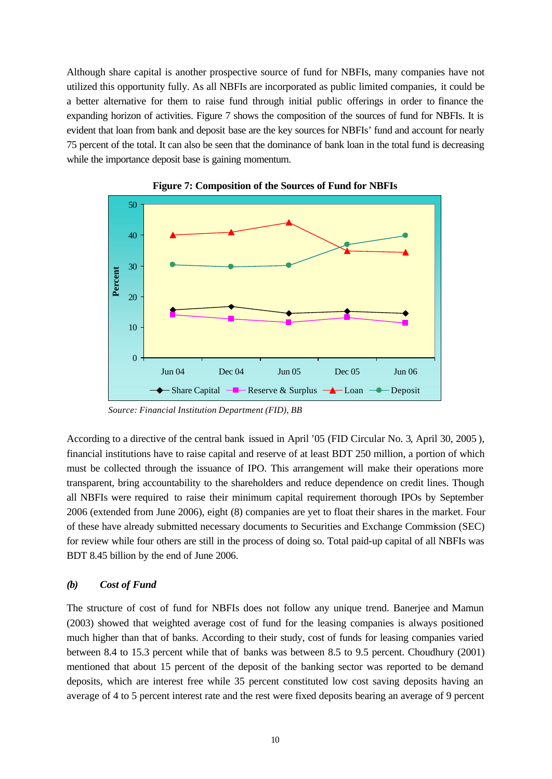Although share capital is another prospective source of fund for NBFIs, many companies have not utilized this opportunity fully. As all NBFIs are incorporated as public limited companies, it could be a better alternative for them to raise fund through initial public offerings in order to finance the expanding horizon of activities. Figure 7 shows the composition of the sources of fund for NBFIs. It is evident that loan from bank and deposit base are the key sources for NBFIs' fund and account for nearly 75 percent of the total. It can also be seen that the dominance of bank loan in the total fund is decreasing while the importance deposit base is gaining momentum.





*Source: Financial Institution Department (FID), BB*

According to a directive of the central bank issued in April '05 (FID Circular No. 3, April 30, 2005 ), financial institutions have to raise capital and reserve of at least BDT 250 million, a portion of which must be collected through the issuance of IPO. This arrangement will make their operations more transparent, bring accountability to the shareholders and reduce dependence on credit lines. Though all NBFIs were required to raise their minimum capital requirement thorough IPOs by September 2006 (extended from June 2006), eight (8) companies are yet to float their shares in the market. Four of these have already submitted necessary documents to Securities and Exchange Commission (SEC) for review while four others are still in the process of doing so. Total paid-up capital of all NBFIs was BDT 8.45 billion by the end of June 2006.

#### *(b) Cost of Fund*

The structure of cost of fund for NBFIs does not follow any unique trend. Banerjee and Mamun (2003) showed that weighted average cost of fund for the leasing companies is always positioned much higher than that of banks. According to their study, cost of funds for leasing companies varied between 8.4 to 15.3 percent while that of banks was between 8.5 to 9.5 percent. Choudhury (2001) mentioned that about 15 percent of the deposit of the banking sector was reported to be demand deposits, which are interest free while 35 percent constituted low cost saving deposits having an average of 4 to 5 percent interest rate and the rest were fixed deposits bearing an average of 9 percent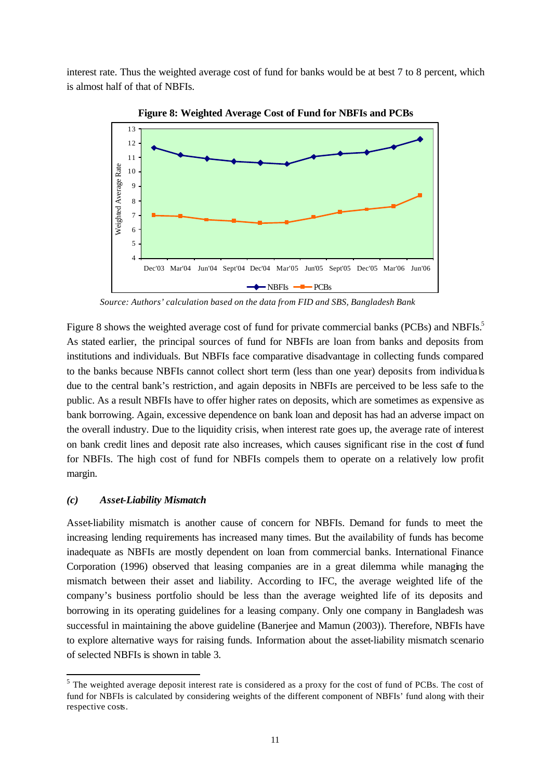interest rate. Thus the weighted average cost of fund for banks would be at best 7 to 8 percent, which is almost half of that of NBFIs.



**Figure 8: Weighted Average Cost of Fund for NBFIs and PCBs**

*Source: Authors' calculation based on the data from FID and SBS, Bangladesh Bank*

Figure 8 shows the weighted average cost of fund for private commercial banks (PCBs) and NBFIs.<sup>5</sup> As stated earlier, the principal sources of fund for NBFIs are loan from banks and deposits from institutions and individuals. But NBFIs face comparative disadvantage in collecting funds compared to the banks because NBFIs cannot collect short term (less than one year) deposits from individua ls due to the central bank's restriction, and again deposits in NBFIs are perceived to be less safe to the public. As a result NBFIs have to offer higher rates on deposits, which are sometimes as expensive as bank borrowing. Again, excessive dependence on bank loan and deposit has had an adverse impact on the overall industry. Due to the liquidity crisis, when interest rate goes up, the average rate of interest on bank credit lines and deposit rate also increases, which causes significant rise in the cost of fund for NBFIs. The high cost of fund for NBFIs compels them to operate on a relatively low profit margin.

#### *(c) Asset-Liability Mismatch*

l

Asset-liability mismatch is another cause of concern for NBFIs. Demand for funds to meet the increasing lending requirements has increased many times. But the availability of funds has become inadequate as NBFIs are mostly dependent on loan from commercial banks. International Finance Corporation (1996) observed that leasing companies are in a great dilemma while managing the mismatch between their asset and liability. According to IFC, the average weighted life of the company's business portfolio should be less than the average weighted life of its deposits and borrowing in its operating guidelines for a leasing company. Only one company in Bangladesh was successful in maintaining the above guideline (Banerjee and Mamun (2003)). Therefore, NBFIs have to explore alternative ways for raising funds. Information about the asset-liability mismatch scenario of selected NBFIs is shown in table 3.

 $<sup>5</sup>$  The weighted average deposit interest rate is considered as a proxy for the cost of fund of PCBs. The cost of</sup> fund for NBFIs is calculated by considering weights of the different component of NBFIs' fund along with their respective costs.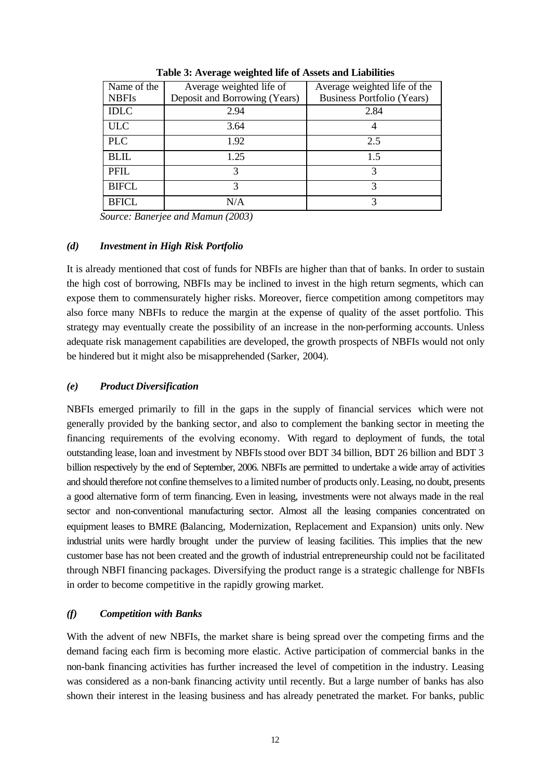| Name of the  | Average weighted life of      | Average weighted life of the      |
|--------------|-------------------------------|-----------------------------------|
| <b>NBFIs</b> | Deposit and Borrowing (Years) | <b>Business Portfolio (Years)</b> |
| <b>IDLC</b>  | 2.94                          | 2.84                              |
| <b>ULC</b>   | 3.64                          |                                   |
| <b>PLC</b>   | 1.92                          | 2.5                               |
| <b>BLIL</b>  | 1.25                          | 1.5                               |
| PFIL         |                               | 3                                 |
| <b>BIFCL</b> |                               | 3                                 |
| <b>BFICL</b> | N/A                           |                                   |

**Table 3: Average weighted life of Assets and Liabilities**

*Source: Banerjee and Mamun (2003)*

#### *(d) Investment in High Risk Portfolio*

It is already mentioned that cost of funds for NBFIs are higher than that of banks. In order to sustain the high cost of borrowing, NBFIs may be inclined to invest in the high return segments, which can expose them to commensurately higher risks. Moreover, fierce competition among competitors may also force many NBFIs to reduce the margin at the expense of quality of the asset portfolio. This strategy may eventually create the possibility of an increase in the non-performing accounts. Unless adequate risk management capabilities are developed, the growth prospects of NBFIs would not only be hindered but it might also be misapprehended (Sarker, 2004).

#### *(e) Product Diversification*

NBFIs emerged primarily to fill in the gaps in the supply of financial services which were not generally provided by the banking sector, and also to complement the banking sector in meeting the financing requirements of the evolving economy. With regard to deployment of funds, the total outstanding lease, loan and investment by NBFIs stood over BDT 34 billion, BDT 26 billion and BDT 3 billion respectively by the end of September, 2006. NBFIs are permitted to undertake a wide array of activities and should therefore not confine themselves to a limited number of products only. Leasing, no doubt, presents a good alternative form of term financing. Even in leasing, investments were not always made in the real sector and non-conventional manufacturing sector. Almost all the leasing companies concentrated on equipment leases to BMRE (Balancing, Modernization, Replacement and Expansion) units only. New industrial units were hardly brought under the purview of leasing facilities. This implies that the new customer base has not been created and the growth of industrial entrepreneurship could not be facilitated through NBFI financing packages. Diversifying the product range is a strategic challenge for NBFIs in order to become competitive in the rapidly growing market.

#### *(f) Competition with Banks*

With the advent of new NBFIs, the market share is being spread over the competing firms and the demand facing each firm is becoming more elastic. Active participation of commercial banks in the non-bank financing activities has further increased the level of competition in the industry. Leasing was considered as a non-bank financing activity until recently. But a large number of banks has also shown their interest in the leasing business and has already penetrated the market. For banks, public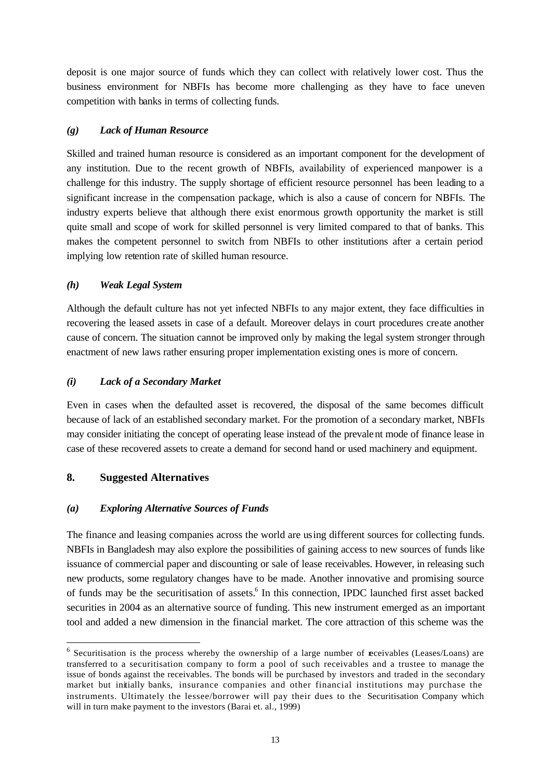deposit is one major source of funds which they can collect with relatively lower cost. Thus the business environment for NBFIs has become more challenging as they have to face uneven competition with banks in terms of collecting funds.

## *(g) Lack of Human Resource*

Skilled and trained human resource is considered as an important component for the development of any institution. Due to the recent growth of NBFIs, availability of experienced manpower is a challenge for this industry. The supply shortage of efficient resource personnel has been leading to a significant increase in the compensation package, which is also a cause of concern for NBFIs. The industry experts believe that although there exist enormous growth opportunity the market is still quite small and scope of work for skilled personnel is very limited compared to that of banks. This makes the competent personnel to switch from NBFIs to other institutions after a certain period implying low retention rate of skilled human resource.

## *(h) Weak Legal System*

Although the default culture has not yet infected NBFIs to any major extent, they face difficulties in recovering the leased assets in case of a default. Moreover delays in court procedures create another cause of concern. The situation cannot be improved only by making the legal system stronger through enactment of new laws rather ensuring proper implementation existing ones is more of concern.

## *(i) Lack of a Secondary Market*

Even in cases when the defaulted asset is recovered, the disposal of the same becomes difficult because of lack of an established secondary market. For the promotion of a secondary market, NBFIs may consider initiating the concept of operating lease instead of the prevalent mode of finance lease in case of these recovered assets to create a demand for second hand or used machinery and equipment.

## **8. Suggested Alternatives**

l

## *(a) Exploring Alternative Sources of Funds*

The finance and leasing companies across the world are using different sources for collecting funds. NBFIs in Bangladesh may also explore the possibilities of gaining access to new sources of funds like issuance of commercial paper and discounting or sale of lease receivables. However, in releasing such new products, some regulatory changes have to be made. Another innovative and promising source of funds may be the securitisation of assets.<sup>6</sup> In this connection, IPDC launched first asset backed securities in 2004 as an alternative source of funding. This new instrument emerged as an important tool and added a new dimension in the financial market. The core attraction of this scheme was the

 $6$  Securitisation is the process whereby the ownership of a large number of receivables (Leases/Loans) are transferred to a securitisation company to form a pool of such receivables and a trustee to manage the issue of bonds against the receivables. The bonds will be purchased by investors and traded in the secondary market but initially banks, insurance companies and other financial institutions may purchase the instruments. Ultimately the lessee/borrower will pay their dues to the Securitisation Company which will in turn make payment to the investors (Barai et. al., 1999)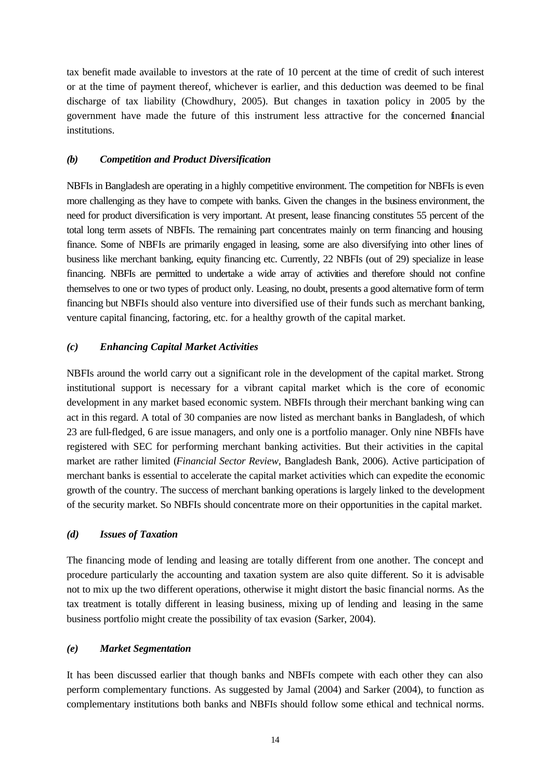tax benefit made available to investors at the rate of 10 percent at the time of credit of such interest or at the time of payment thereof, whichever is earlier, and this deduction was deemed to be final discharge of tax liability (Chowdhury, 2005). But changes in taxation policy in 2005 by the government have made the future of this instrument less attractive for the concerned financial institutions.

#### *(b) Competition and Product Diversification*

NBFIs in Bangladesh are operating in a highly competitive environment. The competition for NBFIs is even more challenging as they have to compete with banks. Given the changes in the business environment, the need for product diversification is very important. At present, lease financing constitutes 55 percent of the total long term assets of NBFIs. The remaining part concentrates mainly on term financing and housing finance. Some of NBFIs are primarily engaged in leasing, some are also diversifying into other lines of business like merchant banking, equity financing etc. Currently, 22 NBFIs (out of 29) specialize in lease financing. NBFIs are permitted to undertake a wide array of activities and therefore should not confine themselves to one or two types of product only. Leasing, no doubt, presents a good alternative form of term financing but NBFIs should also venture into diversified use of their funds such as merchant banking, venture capital financing, factoring, etc. for a healthy growth of the capital market.

#### *(c) Enhancing Capital Market Activities*

NBFIs around the world carry out a significant role in the development of the capital market. Strong institutional support is necessary for a vibrant capital market which is the core of economic development in any market based economic system. NBFIs through their merchant banking wing can act in this regard. A total of 30 companies are now listed as merchant banks in Bangladesh, of which 23 are full-fledged, 6 are issue managers, and only one is a portfolio manager. Only nine NBFIs have registered with SEC for performing merchant banking activities. But their activities in the capital market are rather limited (*Financial Sector Review*, Bangladesh Bank, 2006). Active participation of merchant banks is essential to accelerate the capital market activities which can expedite the economic growth of the country. The success of merchant banking operations is largely linked to the development of the security market. So NBFIs should concentrate more on their opportunities in the capital market.

#### *(d) Issues of Taxation*

The financing mode of lending and leasing are totally different from one another. The concept and procedure particularly the accounting and taxation system are also quite different. So it is advisable not to mix up the two different operations, otherwise it might distort the basic financial norms. As the tax treatment is totally different in leasing business, mixing up of lending and leasing in the same business portfolio might create the possibility of tax evasion (Sarker, 2004).

#### *(e) Market Segmentation*

It has been discussed earlier that though banks and NBFIs compete with each other they can also perform complementary functions. As suggested by Jamal (2004) and Sarker (2004), to function as complementary institutions both banks and NBFIs should follow some ethical and technical norms.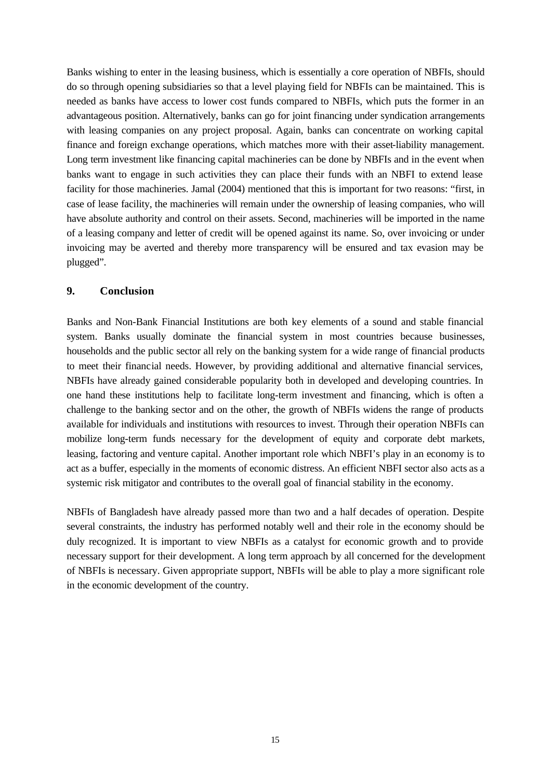Banks wishing to enter in the leasing business, which is essentially a core operation of NBFIs, should do so through opening subsidiaries so that a level playing field for NBFIs can be maintained. This is needed as banks have access to lower cost funds compared to NBFIs, which puts the former in an advantageous position. Alternatively, banks can go for joint financing under syndication arrangements with leasing companies on any project proposal. Again, banks can concentrate on working capital finance and foreign exchange operations, which matches more with their asset-liability management. Long term investment like financing capital machineries can be done by NBFIs and in the event when banks want to engage in such activities they can place their funds with an NBFI to extend lease facility for those machineries. Jamal (2004) mentioned that this is important for two reasons: "first, in case of lease facility, the machineries will remain under the ownership of leasing companies, who will have absolute authority and control on their assets. Second, machineries will be imported in the name of a leasing company and letter of credit will be opened against its name. So, over invoicing or under invoicing may be averted and thereby more transparency will be ensured and tax evasion may be plugged".

#### **9. Conclusion**

Banks and Non-Bank Financial Institutions are both key elements of a sound and stable financial system. Banks usually dominate the financial system in most countries because businesses, households and the public sector all rely on the banking system for a wide range of financial products to meet their financial needs. However, by providing additional and alternative financial services, NBFIs have already gained considerable popularity both in developed and developing countries. In one hand these institutions help to facilitate long-term investment and financing, which is often a challenge to the banking sector and on the other, the growth of NBFIs widens the range of products available for individuals and institutions with resources to invest. Through their operation NBFIs can mobilize long-term funds necessary for the development of equity and corporate debt markets, leasing, factoring and venture capital. Another important role which NBFI's play in an economy is to act as a buffer, especially in the moments of economic distress. An efficient NBFI sector also acts as a systemic risk mitigator and contributes to the overall goal of financial stability in the economy.

NBFIs of Bangladesh have already passed more than two and a half decades of operation. Despite several constraints, the industry has performed notably well and their role in the economy should be duly recognized. It is important to view NBFIs as a catalyst for economic growth and to provide necessary support for their development. A long term approach by all concerned for the development of NBFIs is necessary. Given appropriate support, NBFIs will be able to play a more significant role in the economic development of the country.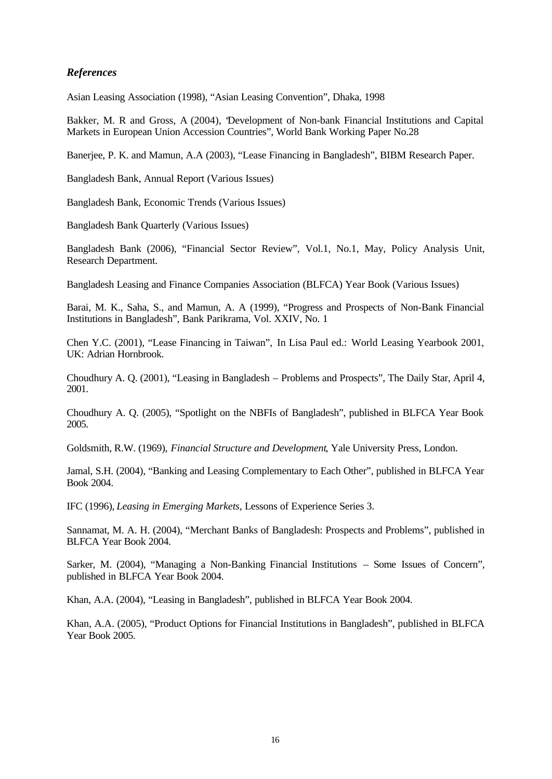#### *References*

Asian Leasing Association (1998), "Asian Leasing Convention", Dhaka, 1998

Bakker, M. R and Gross, A (2004), "Development of Non-bank Financial Institutions and Capital Markets in European Union Accession Countries", World Bank Working Paper No.28

Banerjee, P. K. and Mamun, A.A (2003), "Lease Financing in Bangladesh", BIBM Research Paper.

Bangladesh Bank, Annual Report (Various Issues)

Bangladesh Bank, Economic Trends (Various Issues)

Bangladesh Bank Quarterly (Various Issues)

Bangladesh Bank (2006), "Financial Sector Review", Vol.1, No.1, May, Policy Analysis Unit, Research Department.

Bangladesh Leasing and Finance Companies Association (BLFCA) Year Book (Various Issues)

Barai, M. K., Saha, S., and Mamun, A. A (1999), "Progress and Prospects of Non-Bank Financial Institutions in Bangladesh", Bank Parikrama, Vol. XXIV, No. 1

Chen Y.C. (2001), "Lease Financing in Taiwan", In Lisa Paul ed.: World Leasing Yearbook 2001, UK: Adrian Hornbrook.

Choudhury A. Q. (2001), "Leasing in Bangladesh – Problems and Prospects", The Daily Star, April 4, 2001.

Choudhury A. Q. (2005), "Spotlight on the NBFIs of Bangladesh", published in BLFCA Year Book 2005.

Goldsmith, R.W. (1969), *Financial Structure and Development*, Yale University Press, London.

Jamal, S.H. (2004), "Banking and Leasing Complementary to Each Other", published in BLFCA Year Book 2004.

IFC (1996), *Leasing in Emerging Markets*, Lessons of Experience Series 3.

Sannamat, M. A. H. (2004), "Merchant Banks of Bangladesh: Prospects and Problems", published in BLFCA Year Book 2004.

Sarker, M. (2004), "Managing a Non-Banking Financial Institutions – Some Issues of Concern", published in BLFCA Year Book 2004.

Khan, A.A. (2004), "Leasing in Bangladesh", published in BLFCA Year Book 2004.

Khan, A.A. (2005), "Product Options for Financial Institutions in Bangladesh", published in BLFCA Year Book 2005.